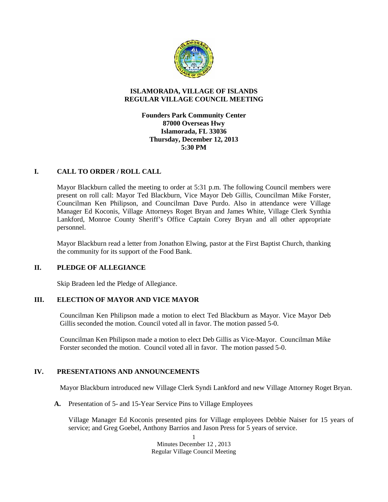

# **ISLAMORADA, VILLAGE OF ISLANDS REGULAR VILLAGE COUNCIL MEETING**

**Founders Park Community Center 87000 Overseas Hwy Islamorada, FL 33036 Thursday, December 12, 2013 5:30 PM**

# **I. CALL TO ORDER / ROLL CALL**

Mayor Blackburn called the meeting to order at 5:31 p.m. The following Council members were present on roll call: Mayor Ted Blackburn, Vice Mayor Deb Gillis, Councilman Mike Forster, Councilman Ken Philipson, and Councilman Dave Purdo. Also in attendance were Village Manager Ed Koconis, Village Attorneys Roget Bryan and James White, Village Clerk Synthia Lankford, Monroe County Sheriff's Office Captain Corey Bryan and all other appropriate personnel.

Mayor Blackburn read a letter from Jonathon Elwing, pastor at the First Baptist Church, thanking the community for its support of the Food Bank.

#### **II. PLEDGE OF ALLEGIANCE**

Skip Bradeen led the Pledge of Allegiance.

#### **III. ELECTION OF MAYOR AND VICE MAYOR**

Councilman Ken Philipson made a motion to elect Ted Blackburn as Mayor. Vice Mayor Deb Gillis seconded the motion. Council voted all in favor. The motion passed 5-0.

Councilman Ken Philipson made a motion to elect Deb Gillis as Vice-Mayor. Councilman Mike Forster seconded the motion. Council voted all in favor. The motion passed 5-0.

# **IV. PRESENTATIONS AND ANNOUNCEMENTS**

Mayor Blackburn introduced new Village Clerk Syndi Lankford and new Village Attorney Roget Bryan.

**A.** Presentation of 5- and 15-Year Service Pins to Village Employees

Village Manager Ed Koconis presented pins for Village employees Debbie Naiser for 15 years of service; and Greg Goebel, Anthony Barrios and Jason Press for 5 years of service.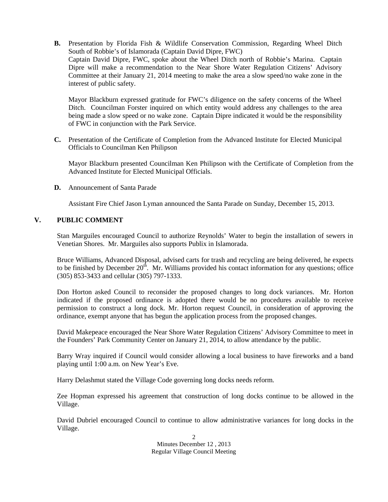**B.** Presentation by Florida Fish & Wildlife Conservation Commission, Regarding Wheel Ditch South of Robbie's of Islamorada (Captain David Dipre, FWC) Captain David Dipre, FWC, spoke about the Wheel Ditch north of Robbie's Marina. Captain Dipre will make a recommendation to the Near Shore Water Regulation Citizens' Advisory Committee at their January 21, 2014 meeting to make the area a slow speed/no wake zone in the interest of public safety.

Mayor Blackburn expressed gratitude for FWC's diligence on the safety concerns of the Wheel Ditch. Councilman Forster inquired on which entity would address any challenges to the area being made a slow speed or no wake zone. Captain Dipre indicated it would be the responsibility of FWC in conjunction with the Park Service.

**C.** Presentation of the Certificate of Completion from the Advanced Institute for Elected Municipal Officials to Councilman Ken Philipson

Mayor Blackburn presented Councilman Ken Philipson with the Certificate of Completion from the Advanced Institute for Elected Municipal Officials.

**D.** Announcement of Santa Parade

Assistant Fire Chief Jason Lyman announced the Santa Parade on Sunday, December 15, 2013.

# **V. PUBLIC COMMENT**

Stan Marguiles encouraged Council to authorize Reynolds' Water to begin the installation of sewers in Venetian Shores. Mr. Marguiles also supports Publix in Islamorada.

Bruce Williams, Advanced Disposal, advised carts for trash and recycling are being delivered, he expects to be finished by December  $20<sup>th</sup>$ . Mr. Williams provided his contact information for any questions; office (305) 853-3433 and cellular (305) 797-1333.

Don Horton asked Council to reconsider the proposed changes to long dock variances. Mr. Horton indicated if the proposed ordinance is adopted there would be no procedures available to receive permission to construct a long dock. Mr. Horton request Council, in consideration of approving the ordinance, exempt anyone that has begun the application process from the proposed changes.

David Makepeace encouraged the Near Shore Water Regulation Citizens' Advisory Committee to meet in the Founders' Park Community Center on January 21, 2014, to allow attendance by the public.

Barry Wray inquired if Council would consider allowing a local business to have fireworks and a band playing until 1:00 a.m. on New Year's Eve.

Harry Delashmut stated the Village Code governing long docks needs reform.

Zee Hopman expressed his agreement that construction of long docks continue to be allowed in the Village.

David Dubriel encouraged Council to continue to allow administrative variances for long docks in the Village.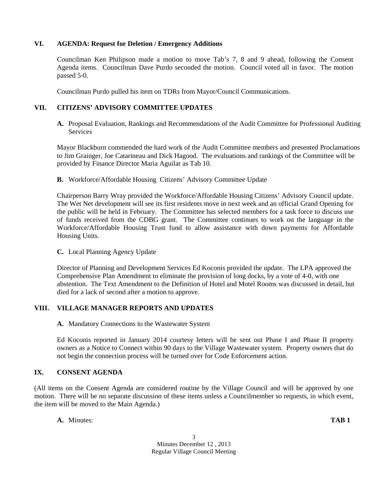# **VI. AGENDA: Request for Deletion / Emergency Additions**

Councilman Ken Philipson made a motion to move Tab's 7, 8 and 9 ahead, following the Consent Agenda items. Councilman Dave Purdo seconded the motion. Council voted all in favor. The motion passed 5-0.

Councilman Purdo pulled his item on TDRs from Mayor/Council Communications.

# **VII. CITIZENS' ADVISORY COMMITTEE UPDATES**

**A.** Proposal Evaluation, Rankings and Recommendations of the Audit Committee for Professional Auditing Services

Mayor Blackburn commended the hard work of the Audit Committee members and presented Proclamations to Jim Grainger, Joe Catarineau and Dick Hagood. The evaluations and rankings of the Committee will be provided by Finance Director Maria Aguilar as Tab 10.

**B.** Workforce/Affordable Housing Citizens' Advisory Committee Update

Chairperson Barry Wray provided the Workforce/Affordable Housing Citizens' Advisory Council update. The Wet Net development will see its first residents move in next week and an official Grand Opening for the public will be held in February. The Committee has selected members for a task force to discuss use of funds received from the CDBG grant. The Committee continues to work on the language in the Workforce/Affordable Housing Trust fund to allow assistance with down payments for Affordable Housing Units.

#### **C.** Local Planning Agency Update

Director of Planning and Development Services Ed Koconis provided the update. The LPA approved the Comprehensive Plan Amendment to eliminate the provision of long docks, by a vote of 4-0, with one abstention. The Text Amendment to the Definition of Hotel and Motel Rooms was discussed in detail, but died for a lack of second after a motion to approve.

# **VIII. VILLAGE MANAGER REPORTS AND UPDATES**

**A.** Mandatory Connections to the Wastewater System

Ed Koconis reported in January 2014 courtesy letters will be sent out Phase I and Phase II property owners as a Notice to Connect within 90 days to the Village Wastewater system. Property owners that do not begin the connection process will be turned over for Code Enforcement action.

# **IX. CONSENT AGENDA**

(All items on the Consent Agenda are considered routine by the Village Council and will be approved by one motion. There will be no separate discussion of these items unless a Councilmember so requests, in which event, the item will be moved to the Main Agenda.)

**A.** Minutes: **TAB 1**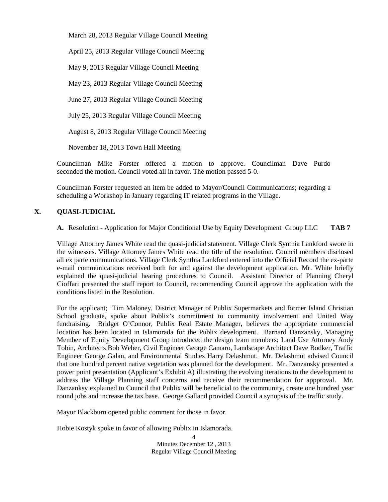March 28, 2013 Regular Village Council Meeting

April 25, 2013 Regular Village Council Meeting

May 9, 2013 Regular Village Council Meeting

May 23, 2013 Regular Village Council Meeting

June 27, 2013 Regular Village Council Meeting

July 25, 2013 Regular Village Council Meeting

August 8, 2013 Regular Village Council Meeting

November 18, 2013 Town Hall Meeting

Councilman Mike Forster offered a motion to approve. Councilman Dave Purdo seconded the motion. Council voted all in favor. The motion passed 5-0.

Councilman Forster requested an item be added to Mayor/Council Communications; regarding a scheduling a Workshop in January regarding IT related programs in the Village.

# **X. QUASI-JUDICIAL**

**A.** Resolution - Application for Major Conditional Use by Equity Development Group LLC **TAB 7**

Village Attorney James White read the quasi-judicial statement. Village Clerk Synthia Lankford swore in the witnesses. Village Attorney James White read the title of the resolution. Council members disclosed all ex parte communications. Village Clerk Synthia Lankford entered into the Official Record the ex-parte e-mail communications received both for and against the development application. Mr. White briefly explained the quasi-judicial hearing procedures to Council. Assistant Director of Planning Cheryl Cioffari presented the staff report to Council, recommending Council approve the application with the conditions listed in the Resolution.

For the applicant; Tim Maloney, District Manager of Publix Supermarkets and former Island Christian School graduate, spoke about Publix's commitment to community involvement and United Way fundraising. Bridget O'Connor, Publix Real Estate Manager, believes the appropriate commercial location has been located in Islamorada for the Publix development. Barnard Danzansky, Managing Member of Equity Development Group introduced the design team members; Land Use Attorney Andy Tobin, Architects Bob Weber, Civil Engineer George Camaro, Landscape Architect Dave Bodker, Traffic Engineer George Galan, and Environmental Studies Harry Delashmut. Mr. Delashmut advised Council that one hundred percent native vegetation was planned for the development. Mr. Danzansky presented a power point presentation (Applicant's Exhibit A) illustrating the evolving iterations to the development to address the Village Planning staff concerns and receive their recommendation for appproval. Mr. Danzanksy explained to Council that Publix will be beneficial to the community, create one hundred year round jobs and increase the tax base. George Galland provided Council a synopsis of the traffic study.

Mayor Blackburn opened public comment for those in favor.

Hobie Kostyk spoke in favor of allowing Publix in Islamorada.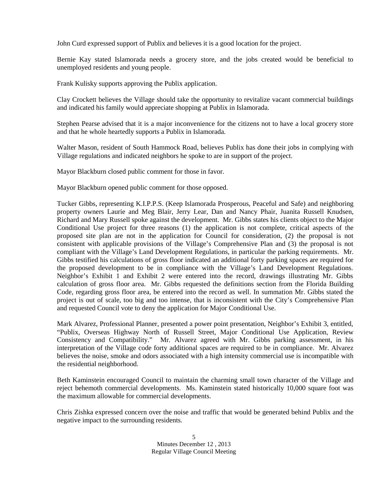John Curd expressed support of Publix and believes it is a good location for the project.

Bernie Kay stated Islamorada needs a grocery store, and the jobs created would be beneficial to unemployed residents and young people.

Frank Kulisky supports approving the Publix application.

Clay Crockett believes the Village should take the opportunity to revitalize vacant commercial buildings and indicated his family would appreciate shopping at Publix in Islamorada.

Stephen Pearse advised that it is a major inconvenience for the citizens not to have a local grocery store and that he whole heartedly supports a Publix in Islamorada.

Walter Mason, resident of South Hammock Road, believes Publix has done their jobs in complying with Village regulations and indicated neighbors he spoke to are in support of the project.

Mayor Blackburn closed public comment for those in favor.

Mayor Blackburn opened public comment for those opposed.

Tucker Gibbs, representing K.I.P.P.S. (Keep Islamorada Prosperous, Peaceful and Safe) and neighboring property owners Laurie and Meg Blair, Jerry Lear, Dan and Nancy Phair, Juanita Russell Knudsen, Richard and Mary Russell spoke against the development. Mr. Gibbs states his clients object to the Major Conditional Use project for three reasons (1) the application is not complete, critical aspects of the proposed site plan are not in the application for Council for consideration, (2) the proposal is not consistent with applicable provisions of the Village's Comprehensive Plan and (3) the proposal is not compliant with the Village's Land Development Regulations, in particular the parking requirements. Mr. Gibbs testified his calculations of gross floor indicated an additional forty parking spaces are required for the proposed development to be in compliance with the Village's Land Development Regulations. Neighbor's Exhibit 1 and Exhibit 2 were entered into the record, drawings illustrating Mr. Gibbs calculation of gross floor area. Mr. Gibbs requested the definitions section from the Florida Building Code, regarding gross floor area, be entered into the record as well. In summation Mr. Gibbs stated the project is out of scale, too big and too intense, that is inconsistent with the City's Comprehensive Plan and requested Council vote to deny the application for Major Conditional Use.

Mark Alvarez, Professional Planner, presented a power point presentation, Neighbor's Exhibit 3, entitled, "Publix, Overseas Highway North of Russell Street, Major Conditional Use Application, Review Consistency and Compatibility." Mr. Alvarez agreed with Mr. Gibbs parking assessment, in his interpretation of the Village code forty additional spaces are required to be in compliance. Mr. Alvarez believes the noise, smoke and odors associated with a high intensity commercial use is incompatible with the residential neighborhood.

Beth Kaminstein encouraged Council to maintain the charming small town character of the Village and reject behemoth commercial developments. Ms. Kaminstein stated historically 10,000 square foot was the maximum allowable for commercial developments.

Chris Zishka expressed concern over the noise and traffic that would be generated behind Publix and the negative impact to the surrounding residents.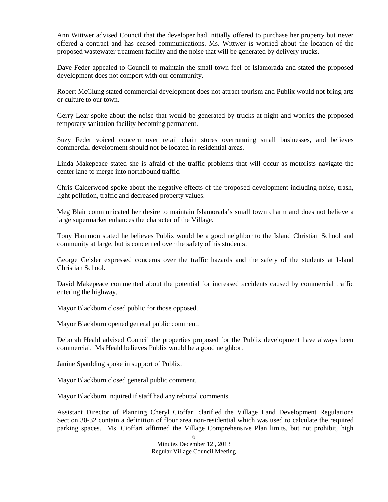Ann Wittwer advised Council that the developer had initially offered to purchase her property but never offered a contract and has ceased communications. Ms. Wittwer is worried about the location of the proposed wastewater treatment facility and the noise that will be generated by delivery trucks.

Dave Feder appealed to Council to maintain the small town feel of Islamorada and stated the proposed development does not comport with our community.

Robert McClung stated commercial development does not attract tourism and Publix would not bring arts or culture to our town.

Gerry Lear spoke about the noise that would be generated by trucks at night and worries the proposed temporary sanitation facility becoming permanent.

Suzy Feder voiced concern over retail chain stores overrunning small businesses, and believes commercial development should not be located in residential areas.

Linda Makepeace stated she is afraid of the traffic problems that will occur as motorists navigate the center lane to merge into northbound traffic.

Chris Calderwood spoke about the negative effects of the proposed development including noise, trash, light pollution, traffic and decreased property values.

Meg Blair communicated her desire to maintain Islamorada's small town charm and does not believe a large supermarket enhances the character of the Village.

Tony Hammon stated he believes Publix would be a good neighbor to the Island Christian School and community at large, but is concerned over the safety of his students.

George Geisler expressed concerns over the traffic hazards and the safety of the students at Island Christian School.

David Makepeace commented about the potential for increased accidents caused by commercial traffic entering the highway.

Mayor Blackburn closed public for those opposed.

Mayor Blackburn opened general public comment.

Deborah Heald advised Council the properties proposed for the Publix development have always been commercial. Ms Heald believes Publix would be a good neighbor.

Janine Spaulding spoke in support of Publix.

Mayor Blackburn closed general public comment.

Mayor Blackburn inquired if staff had any rebuttal comments.

Assistant Director of Planning Cheryl Cioffari clarified the Village Land Development Regulations Section 30-32 contain a definition of floor area non-residential which was used to calculate the required parking spaces. Ms. Cioffari affirmed the Village Comprehensive Plan limits, but not prohibit, high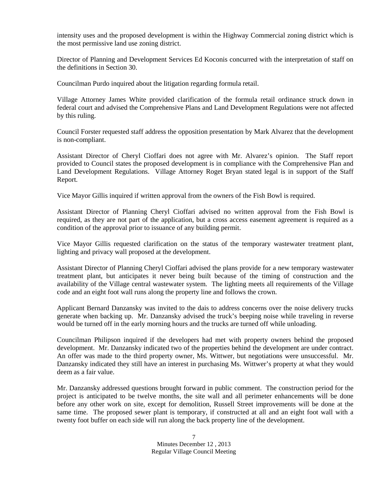intensity uses and the proposed development is within the Highway Commercial zoning district which is the most permissive land use zoning district.

Director of Planning and Development Services Ed Koconis concurred with the interpretation of staff on the definitions in Section 30.

Councilman Purdo inquired about the litigation regarding formula retail.

Village Attorney James White provided clarification of the formula retail ordinance struck down in federal court and advised the Comprehensive Plans and Land Development Regulations were not affected by this ruling.

Council Forster requested staff address the opposition presentation by Mark Alvarez that the development is non-compliant.

Assistant Director of Cheryl Cioffari does not agree with Mr. Alvarez's opinion. The Staff report provided to Council states the proposed development is in compliance with the Comprehensive Plan and Land Development Regulations. Village Attorney Roget Bryan stated legal is in support of the Staff Report.

Vice Mayor Gillis inquired if written approval from the owners of the Fish Bowl is required.

Assistant Director of Planning Cheryl Cioffari advised no written approval from the Fish Bowl is required, as they are not part of the application, but a cross access easement agreement is required as a condition of the approval prior to issuance of any building permit.

Vice Mayor Gillis requested clarification on the status of the temporary wastewater treatment plant, lighting and privacy wall proposed at the development.

Assistant Director of Planning Cheryl Cioffari advised the plans provide for a new temporary wastewater treatment plant, but anticipates it never being built because of the timing of construction and the availability of the Village central wastewater system. The lighting meets all requirements of the Village code and an eight foot wall runs along the property line and follows the crown.

Applicant Bernard Danzansky was invited to the dais to address concerns over the noise delivery trucks generate when backing up. Mr. Danzansky advised the truck's beeping noise while traveling in reverse would be turned off in the early morning hours and the trucks are turned off while unloading.

Councilman Philipson inquired if the developers had met with property owners behind the proposed development. Mr. Danzansky indicated two of the properties behind the development are under contract. An offer was made to the third property owner, Ms. Wittwer, but negotiations were unsuccessful. Mr. Danzansky indicated they still have an interest in purchasing Ms. Wittwer's property at what they would deem as a fair value.

Mr. Danzansky addressed questions brought forward in public comment. The construction period for the project is anticipated to be twelve months, the site wall and all perimeter enhancements will be done before any other work on site, except for demolition, Russell Street improvements will be done at the same time. The proposed sewer plant is temporary, if constructed at all and an eight foot wall with a twenty foot buffer on each side will run along the back property line of the development.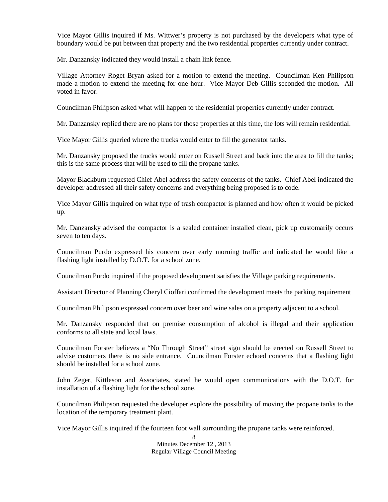Vice Mayor Gillis inquired if Ms. Wittwer's property is not purchased by the developers what type of boundary would be put between that property and the two residential properties currently under contract.

Mr. Danzansky indicated they would install a chain link fence.

Village Attorney Roget Bryan asked for a motion to extend the meeting. Councilman Ken Philipson made a motion to extend the meeting for one hour. Vice Mayor Deb Gillis seconded the motion. All voted in favor.

Councilman Philipson asked what will happen to the residential properties currently under contract.

Mr. Danzansky replied there are no plans for those properties at this time, the lots will remain residential.

Vice Mayor Gillis queried where the trucks would enter to fill the generator tanks.

Mr. Danzansky proposed the trucks would enter on Russell Street and back into the area to fill the tanks; this is the same process that will be used to fill the propane tanks.

Mayor Blackburn requested Chief Abel address the safety concerns of the tanks. Chief Abel indicated the developer addressed all their safety concerns and everything being proposed is to code.

Vice Mayor Gillis inquired on what type of trash compactor is planned and how often it would be picked up.

Mr. Danzansky advised the compactor is a sealed container installed clean, pick up customarily occurs seven to ten days.

Councilman Purdo expressed his concern over early morning traffic and indicated he would like a flashing light installed by D.O.T. for a school zone.

Councilman Purdo inquired if the proposed development satisfies the Village parking requirements.

Assistant Director of Planning Cheryl Cioffari confirmed the development meets the parking requirement

Councilman Philipson expressed concern over beer and wine sales on a property adjacent to a school.

Mr. Danzansky responded that on premise consumption of alcohol is illegal and their application conforms to all state and local laws.

Councilman Forster believes a "No Through Street" street sign should be erected on Russell Street to advise customers there is no side entrance. Councilman Forster echoed concerns that a flashing light should be installed for a school zone.

John Zeger, Kittleson and Associates, stated he would open communications with the D.O.T. for installation of a flashing light for the school zone.

Councilman Philipson requested the developer explore the possibility of moving the propane tanks to the location of the temporary treatment plant.

Vice Mayor Gillis inquired if the fourteen foot wall surrounding the propane tanks were reinforced.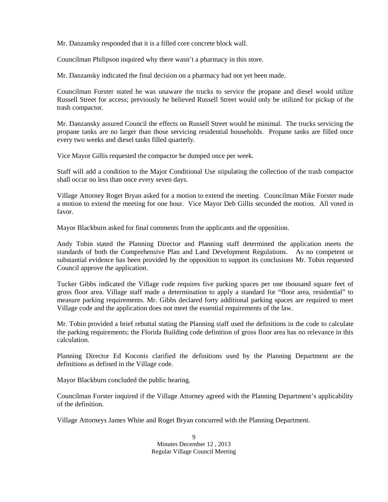Mr. Danzansky responded that it is a filled core concrete block wall.

Councilman Philipson inquired why there wasn't a pharmacy in this store.

Mr. Danzansky indicated the final decision on a pharmacy had not yet been made.

Councilman Forster stated he was unaware the trucks to service the propane and diesel would utilize Russell Street for access; previously he believed Russell Street would only be utilized for pickup of the trash compactor.

Mr. Danzansky assured Council the effects on Russell Street would be minimal. The trucks servicing the propane tanks are no larger than those servicing residential households. Propane tanks are filled once every two weeks and diesel tanks filled quarterly.

Vice Mayor Gillis requested the compactor be dumped once per week.

Staff will add a condition to the Major Conditional Use stipulating the collection of the trash compactor shall occur no less than once every seven days.

Village Attorney Roget Bryan asked for a motion to extend the meeting. Councilman Mike Forster made a motion to extend the meeting for one hour. Vice Mayor Deb Gillis seconded the motion. All voted in favor.

Mayor Blackburn asked for final comments from the applicants and the opposition.

Andy Tobin stated the Planning Director and Planning staff determined the application meets the standards of both the Comprehensive Plan and Land Development Regulations. As no competent or substantial evidence has been provided by the opposition to support its conclusions Mr. Tobin requested Council approve the application.

Tucker Gibbs indicated the Village code requires five parking spaces per one thousand square feet of gross floor area. Village staff made a determination to apply a standard for "floor area, residential" to measure parking requirements. Mr. Gibbs declared forty additional parking spaces are required to meet Village code and the application does not meet the essential requirements of the law.

Mr. Tobin provided a brief rebuttal stating the Planning staff used the definitions in the code to calculate the parking requirements; the Florida Building code definition of gross floor area has no relevance in this calculation.

Planning Director Ed Koconis clarified the definitions used by the Planning Department are the definitions as defined in the Village code.

Mayor Blackburn concluded the public hearing.

Councilman Forster inquired if the Village Attorney agreed with the Planning Department's applicability of the definition.

Village Attorneys James White and Roget Bryan concurred with the Planning Department.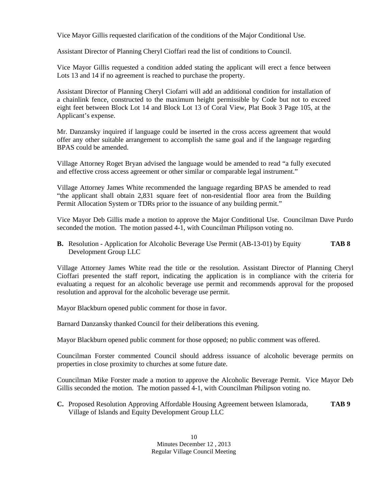Vice Mayor Gillis requested clarification of the conditions of the Major Conditional Use.

Assistant Director of Planning Cheryl Cioffari read the list of conditions to Council.

Vice Mayor Gillis requested a condition added stating the applicant will erect a fence between Lots 13 and 14 if no agreement is reached to purchase the property.

Assistant Director of Planning Cheryl Ciofarri will add an additional condition for installation of a chainlink fence, constructed to the maximum height permissible by Code but not to exceed eight feet between Block Lot 14 and Block Lot 13 of Coral View, Plat Book 3 Page 105, at the Applicant's expense.

Mr. Danzansky inquired if language could be inserted in the cross access agreement that would offer any other suitable arrangement to accomplish the same goal and if the language regarding BPAS could be amended.

Village Attorney Roget Bryan advised the language would be amended to read "a fully executed and effective cross access agreement or other similar or comparable legal instrument."

Village Attorney James White recommended the language regarding BPAS be amended to read "the applicant shall obtain 2,831 square feet of non-residential floor area from the Building Permit Allocation System or TDRs prior to the issuance of any building permit."

Vice Mayor Deb Gillis made a motion to approve the Major Conditional Use. Councilman Dave Purdo seconded the motion. The motion passed 4-1, with Councilman Philipson voting no.

**B.** Resolution - Application for Alcoholic Beverage Use Permit (AB-13-01) by Equity **TAB 8** Development Group LLC

Village Attorney James White read the title or the resolution. Assistant Director of Planning Cheryl Cioffari presented the staff report, indicating the application is in compliance with the criteria for evaluating a request for an alcoholic beverage use permit and recommends approval for the proposed resolution and approval for the alcoholic beverage use permit.

Mayor Blackburn opened public comment for those in favor.

Barnard Danzansky thanked Council for their deliberations this evening.

Mayor Blackburn opened public comment for those opposed; no public comment was offered.

Councilman Forster commented Council should address issuance of alcoholic beverage permits on properties in close proximity to churches at some future date.

Councilman Mike Forster made a motion to approve the Alcoholic Beverage Permit. Vice Mayor Deb Gillis seconded the motion. The motion passed 4-1, with Councilman Philipson voting no.

**C.** Proposed Resolution Approving Affordable Housing Agreement between Islamorada, **TAB 9** Village of Islands and Equity Development Group LLC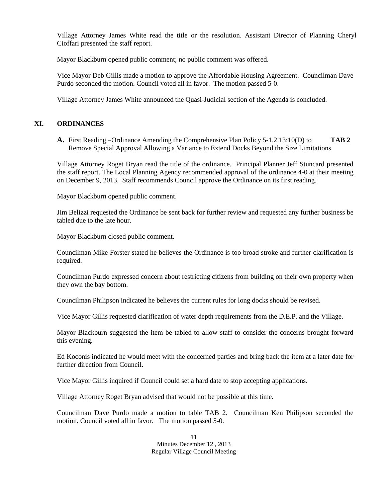Village Attorney James White read the title or the resolution. Assistant Director of Planning Cheryl Cioffari presented the staff report.

Mayor Blackburn opened public comment; no public comment was offered.

Vice Mayor Deb Gillis made a motion to approve the Affordable Housing Agreement. Councilman Dave Purdo seconded the motion. Council voted all in favor. The motion passed 5-0.

Village Attorney James White announced the Quasi-Judicial section of the Agenda is concluded.

#### **XI. ORDINANCES**

**A.** First Reading –Ordinance Amending the Comprehensive Plan Policy 5-1.2.13:10(D) to **TAB 2** Remove Special Approval Allowing a Variance to Extend Docks Beyond the Size Limitations

Village Attorney Roget Bryan read the title of the ordinance. Principal Planner Jeff Stuncard presented the staff report. The Local Planning Agency recommended approval of the ordinance 4-0 at their meeting on December 9, 2013. Staff recommends Council approve the Ordinance on its first reading.

Mayor Blackburn opened public comment.

Jim Belizzi requested the Ordinance be sent back for further review and requested any further business be tabled due to the late hour.

Mayor Blackburn closed public comment.

Councilman Mike Forster stated he believes the Ordinance is too broad stroke and further clarification is required.

Councilman Purdo expressed concern about restricting citizens from building on their own property when they own the bay bottom.

Councilman Philipson indicated he believes the current rules for long docks should be revised.

Vice Mayor Gillis requested clarification of water depth requirements from the D.E.P. and the Village.

Mayor Blackburn suggested the item be tabled to allow staff to consider the concerns brought forward this evening.

Ed Koconis indicated he would meet with the concerned parties and bring back the item at a later date for further direction from Council.

Vice Mayor Gillis inquired if Council could set a hard date to stop accepting applications.

Village Attorney Roget Bryan advised that would not be possible at this time.

Councilman Dave Purdo made a motion to table TAB 2. Councilman Ken Philipson seconded the motion. Council voted all in favor. The motion passed 5-0.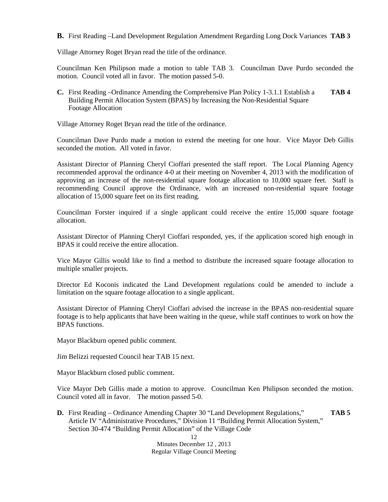**B.** First Reading –Land Development Regulation Amendment Regarding Long Dock Variances **TAB 3**

Village Attorney Roget Bryan read the title of the ordinance.

Councilman Ken Philipson made a motion to table TAB 3. Councilman Dave Purdo seconded the motion. Council voted all in favor. The motion passed 5-0.

**C.** First Reading –Ordinance Amending the Comprehensive Plan Policy 1-3.1.1 Establish a **TAB 4** Building Permit Allocation System (BPAS) by Increasing the Non-Residential Square Footage Allocation

Village Attorney Roget Bryan read the title of the ordinance.

Councilman Dave Purdo made a motion to extend the meeting for one hour. Vice Mayor Deb Gillis seconded the motion. All voted in favor.

Assistant Director of Planning Cheryl Cioffari presented the staff report. The Local Planning Agency recommended approval the ordinance 4-0 at their meeting on November 4, 2013 with the modification of approving an increase of the non-residential square footage allocation to 10,000 square feet. Staff is recommending Council approve the Ordinance, with an increased non-residential square footage allocation of 15,000 square feet on its first reading.

Councilman Forster inquired if a single applicant could receive the entire 15,000 square footage allocation.

Assistant Director of Planning Cheryl Cioffari responded, yes, if the application scored high enough in BPAS it could receive the entire allocation.

Vice Mayor Gillis would like to find a method to distribute the increased square footage allocation to multiple smaller projects.

Director Ed Koconis indicated the Land Development regulations could be amended to include a limitation on the square footage allocation to a single applicant.

Assistant Director of Planning Cheryl Cioffari advised the increase in the BPAS non-residential square footage is to help applicants that have been waiting in the queue, while staff continues to work on how the BPAS functions.

Mayor Blackburn opened public comment.

Jim Belizzi requested Council hear TAB 15 next.

Mayor Blackburn closed public comment.

Vice Mayor Deb Gillis made a motion to approve. Councilman Ken Philipson seconded the motion. Council voted all in favor. The motion passed 5-0.

**D.** First Reading – Ordinance Amending Chapter 30 "Land Development Regulations," **TAB 5** Article IV "Administrative Procedures," Division 11 "Building Permit Allocation System," Section 30-474 "Building Permit Allocation" of the Village Code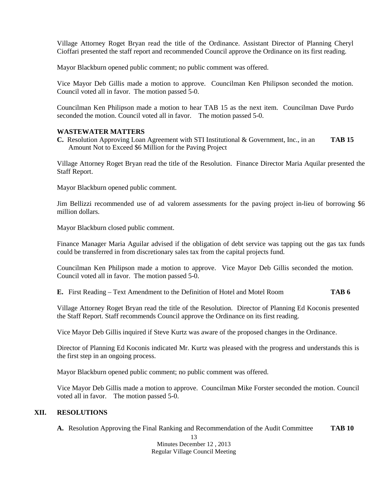Village Attorney Roget Bryan read the title of the Ordinance. Assistant Director of Planning Cheryl Cioffari presented the staff report and recommended Council approve the Ordinance on its first reading.

Mayor Blackburn opened public comment; no public comment was offered.

Vice Mayor Deb Gillis made a motion to approve. Councilman Ken Philipson seconded the motion. Council voted all in favor. The motion passed 5-0.

Councilman Ken Philipson made a motion to hear TAB 15 as the next item. Councilman Dave Purdo seconded the motion. Council voted all in favor. The motion passed 5-0.

#### **WASTEWATER MATTERS**

**C.** Resolution Approving Loan Agreement with STI Institutional & Government, Inc., in an **TAB 15** Amount Not to Exceed \$6 Million for the Paving Project

Village Attorney Roget Bryan read the title of the Resolution. Finance Director Maria Aquilar presented the Staff Report.

Mayor Blackburn opened public comment.

Jim Bellizzi recommended use of ad valorem assessments for the paving project in-lieu of borrowing \$6 million dollars.

Mayor Blackburn closed public comment.

Finance Manager Maria Aguilar advised if the obligation of debt service was tapping out the gas tax funds could be transferred in from discretionary sales tax from the capital projects fund.

Councilman Ken Philipson made a motion to approve. Vice Mayor Deb Gillis seconded the motion. Council voted all in favor. The motion passed 5-0.

**E.** First Reading – Text Amendment to the Definition of Hotel and Motel Room **TAB 6**

Village Attorney Roget Bryan read the title of the Resolution. Director of Planning Ed Koconis presented the Staff Report. Staff recommends Council approve the Ordinance on its first reading.

Vice Mayor Deb Gillis inquired if Steve Kurtz was aware of the proposed changes in the Ordinance.

Director of Planning Ed Koconis indicated Mr. Kurtz was pleased with the progress and understands this is the first step in an ongoing process.

Mayor Blackburn opened public comment; no public comment was offered.

Vice Mayor Deb Gillis made a motion to approve. Councilman Mike Forster seconded the motion. Council voted all in favor. The motion passed 5-0.

# **XII. RESOLUTIONS**

**A.** Resolution Approving the Final Ranking and Recommendation of the Audit Committee **TAB 10**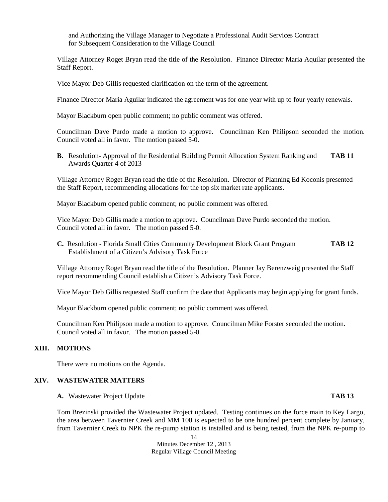and Authorizing the Village Manager to Negotiate a Professional Audit Services Contract for Subsequent Consideration to the Village Council

Village Attorney Roget Bryan read the title of the Resolution. Finance Director Maria Aquilar presented the Staff Report.

Vice Mayor Deb Gillis requested clarification on the term of the agreement.

Finance Director Maria Aguilar indicated the agreement was for one year with up to four yearly renewals.

Mayor Blackburn open public comment; no public comment was offered.

Councilman Dave Purdo made a motion to approve. Councilman Ken Philipson seconded the motion. Council voted all in favor. The motion passed 5-0.

**B.** Resolution- Approval of the Residential Building Permit Allocation System Ranking and **TAB 11** Awards Quarter 4 of 2013

Village Attorney Roget Bryan read the title of the Resolution. Director of Planning Ed Koconis presented the Staff Report, recommending allocations for the top six market rate applicants.

Mayor Blackburn opened public comment; no public comment was offered.

Vice Mayor Deb Gillis made a motion to approve. Councilman Dave Purdo seconded the motion. Council voted all in favor. The motion passed 5-0.

**C.** Resolution - Florida Small Cities Community Development Block Grant Program **TAB 12** Establishment of a Citizen's Advisory Task Force

Village Attorney Roget Bryan read the title of the Resolution. Planner Jay Berenzweig presented the Staff report recommending Council establish a Citizen's Advisory Task Force.

Vice Mayor Deb Gillis requested Staff confirm the date that Applicants may begin applying for grant funds.

Mayor Blackburn opened public comment; no public comment was offered.

Councilman Ken Philipson made a motion to approve. Councilman Mike Forster seconded the motion. Council voted all in favor. The motion passed 5-0.

#### **XIII. MOTIONS**

There were no motions on the Agenda.

# **XIV. WASTEWATER MATTERS**

**A.** Wastewater Project Update **TAB 13**

Tom Brezinski provided the Wastewater Project updated. Testing continues on the force main to Key Largo, the area between Tavernier Creek and MM 100 is expected to be one hundred percent complete by January, from Tavernier Creek to NPK the re-pump station is installed and is being tested, from the NPK re-pump to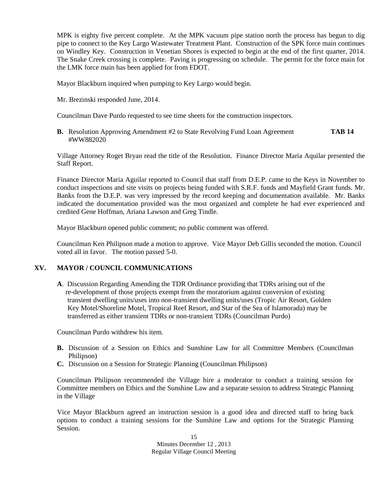MPK is eighty five percent complete. At the MPK vacuum pipe station north the process has begun to dig pipe to connect to the Key Largo Wastewater Treatment Plant. Construction of the SPK force main continues on Windley Key. Construction in Venetian Shores is expected to begin at the end of the first quarter, 2014. The Snake Creek crossing is complete. Paving is progressing on schedule. The permit for the force main for the LMK force main has been applied for from FDOT.

Mayor Blackburn inquired when pumping to Key Largo would begin.

Mr. Brezinski responded June, 2014.

Councilman Dave Purdo requested to see time sheets for the construction inspectors.

**B.** Resolution Approving Amendment #2 to State Revolving Fund Loan Agreement **TAB 14** #WW882020

Village Attorney Roget Bryan read the title of the Resolution. Finance Director Maria Aquilar presented the Staff Report.

Finance Director Maria Aguilar reported to Council that staff from D.E.P. came to the Keys in November to conduct inspections and site visits on projects being funded with S.R.F. funds and Mayfield Grant funds. Mr. Banks from the D.E.P. was very impressed by the record keeping and documentation available. Mr. Banks indicated the documentation provided was the most organized and complete he had ever experienced and credited Gene Hoffman, Ariana Lawson and Greg Tindle.

Mayor Blackburn opened public comment; no public comment was offered.

Councilman Ken Philipson made a motion to approve. Vice Mayor Deb Gillis seconded the motion. Council voted all in favor. The motion passed 5-0.

# **XV. MAYOR / COUNCIL COMMUNICATIONS**

**A**. Discussion Regarding Amending the TDR Ordinance providing that TDRs arising out of the re-development of those projects exempt from the moratorium against conversion of existing transient dwelling units/uses into non-transient dwelling units/uses (Tropic Air Resort, Golden Key Motel/Shoreline Motel, Tropical Reef Resort, and Star of the Sea of Islamorada) may be transferred as either transient TDRs or non-transient TDRs (Councilman Purdo)

Councilman Purdo withdrew his item.

- **B.** Discussion of a Session on Ethics and Sunshine Law for all Committee Members (Councilman Philipson)
- **C.** Discussion on a Session for Strategic Planning (Councilman Philipson)

Councilman Philipson recommended the Village hire a moderator to conduct a training session for Committee members on Ethics and the Sunshine Law and a separate session to address Strategic Planning in the Village

Vice Mayor Blackburn agreed an instruction session is a good idea and directed staff to bring back options to conduct a training sessions for the Sunshine Law and options for the Strategic Planning Session.